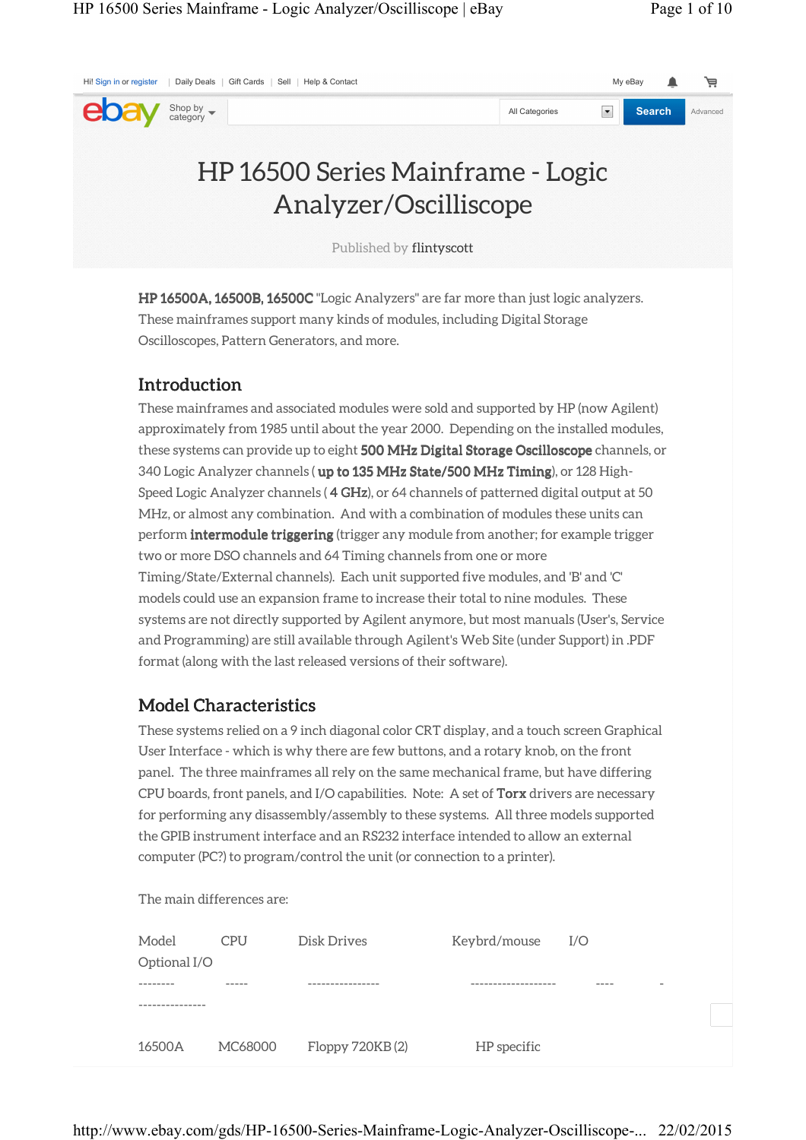| Hi! Sign in or register   Daily Deals   Gift Cards   Sell   Help & Contact |                            |                                                                                        |                | My eBay              | 芦             |          |
|----------------------------------------------------------------------------|----------------------------|----------------------------------------------------------------------------------------|----------------|----------------------|---------------|----------|
| eba                                                                        | Shop by $\bullet$ category |                                                                                        | All Categories | $\blacktriangledown$ | <b>Search</b> | Advanced |
|                                                                            |                            | HP 16500 Series Mainframe - Logic<br>Analyzer/Oscilliscope<br>Published by flintyscott |                |                      |               |          |

HP 16500A, 16500B, 16500C "Logic Analyzers" are far more than just logic analyzers. These mainframes support many kinds of modules, including Digital Storage Oscilloscopes, Pattern Generators, and more.

## **Introduction**

These mainframes and associated modules were sold and supported by HP (now Agilent) approximately from 1985 until about the year 2000. Depending on the installed modules, these systems can provide up to eight 500 MHz Digital Storage Oscilloscope channels, or 340 Logic Analyzer channels ( up to 135 MHz State/500 MHz Timing), or 128 High-Speed Logic Analyzer channels ( 4 GHz), or 64 channels of patterned digital output at 50 MHz, or almost any combination. And with a combination of modules these units can perform **intermodule triggering** (trigger any module from another; for example trigger two or more DSO channels and 64 Timing channels from one or more Timing/State/External channels). Each unit supported five modules, and 'B' and 'C' models could use an expansion frame to increase their total to nine modules. These systems are not directly supported by Agilent anymore, but most manuals (User's, Service and Programming) are still available through Agilent's Web Site (under Support) in .PDF format (along with the last released versions of their software).

## **Model Characteristics**

These systems relied on a 9 inch diagonal color CRT display, and a touch screen Graphical User Interface - which is why there are few buttons, and a rotary knob, on the front panel. The three mainframes all rely on the same mechanical frame, but have differing CPU boards, front panels, and I/O capabilities. Note: A set of **Torx** drivers are necessary for performing any disassembly/assembly to these systems. All three models supported the GPIB instrument interface and an RS232 interface intended to allow an external computer (PC?) to program/control the unit (or connection to a printer).

The main differences are:

| Model<br>Optional I/O | <b>CPU</b> | Disk Drives     | Keybrd/mouse | I/O |
|-----------------------|------------|-----------------|--------------|-----|
|                       |            |                 |              | -   |
| 16500A                | MC68000    | Floppy 720KB(2) | HP specific  |     |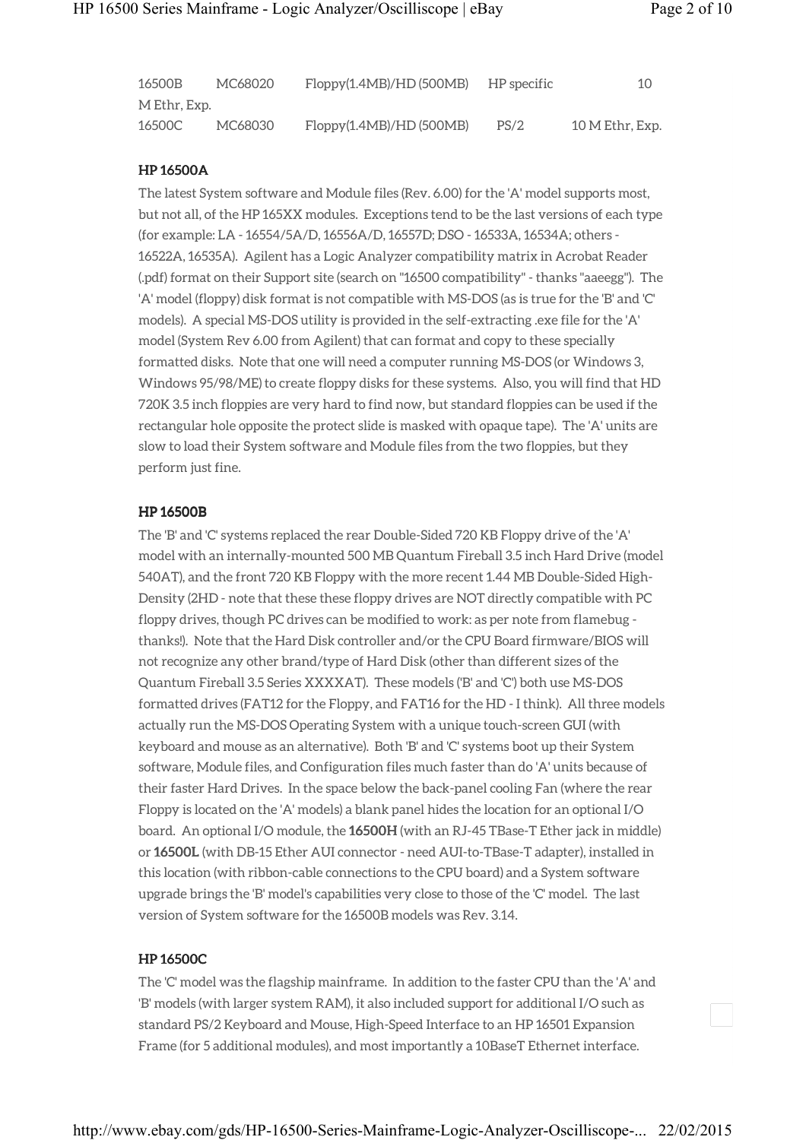| 16500B       | MC68020 | Floppy(1.4MB)/HD(500MB) | HP specific | 10              |
|--------------|---------|-------------------------|-------------|-----------------|
| M Ethr, Exp. |         |                         |             |                 |
| 16500C       | MC68030 | Floppy(1.4MB)/HD(500MB) | PS/2        | 10 M Ethr, Exp. |

### HP 16500A

The latest System software and Module files (Rev. 6.00) for the 'A' model supports most, but not all, of the HP 165XX modules. Exceptions tend to be the last versions of each type (for example: LA - 16554/5A/D, 16556A/D, 16557D; DSO - 16533A, 16534A; others - 16522A, 16535A). Agilent has a Logic Analyzer compatibility matrix in Acrobat Reader (.pdf) format on their Support site (search on "16500 compatibility" - thanks "aaeegg"). The 'A' model (floppy) disk format is not compatible with MS-DOS (as is true for the 'B' and 'C' models). A special MS-DOS utility is provided in the self-extracting .exe file for the 'A' model (System Rev 6.00 from Agilent) that can format and copy to these specially formatted disks. Note that one will need a computer running MS-DOS (or Windows 3, Windows 95/98/ME) to create floppy disks for these systems. Also, you will find that HD 720K 3.5 inch floppies are very hard to find now, but standard floppies can be used if the rectangular hole opposite the protect slide is masked with opaque tape). The 'A' units are slow to load their System software and Module files from the two floppies, but they perform just fine.

### HP 16500B

The 'B' and 'C' systems replaced the rear Double-Sided 720 KB Floppy drive of the 'A' model with an internally-mounted 500 MB Quantum Fireball 3.5 inch Hard Drive (model 540AT), and the front 720 KB Floppy with the more recent 1.44 MB Double-Sided High-Density (2HD - note that these these floppy drives are NOT directly compatible with PC floppy drives, though PC drives can be modified to work: as per note from flamebug thanks!). Note that the Hard Disk controller and/or the CPU Board firmware/BIOS will not recognize any other brand/type of Hard Disk (other than different sizes of the Quantum Fireball 3.5 Series XXXXAT). These models ('B' and 'C') both use MS-DOS formatted drives (FAT12 for the Floppy, and FAT16 for the HD - I think). All three models actually run the MS-DOS Operating System with a unique touch-screen GUI (with keyboard and mouse as an alternative). Both 'B' and 'C' systems boot up their System software, Module files, and Configuration files much faster than do 'A' units because of their faster Hard Drives. In the space below the back-panel cooling Fan (where the rear Floppy is located on the 'A' models) a blank panel hides the location for an optional I/O board. An optional I/O module, the 16500H (with an RJ-45 TBase-T Ether jack in middle) or 16500L (with DB-15 Ether AUI connector - need AUI-to-TBase-T adapter), installed in this location (with ribbon-cable connections to the CPU board) and a System software upgrade brings the 'B' model's capabilities very close to those of the 'C' model. The last version of System software for the 16500B models was Rev. 3.14.

## HP 16500C

The 'C' model was the flagship mainframe. In addition to the faster CPU than the 'A' and 'B' models (with larger system RAM), it also included support for additional I/O such as standard PS/2 Keyboard and Mouse, High-Speed Interface to an HP 16501 Expansion Frame (for 5 additional modules), and most importantly a 10BaseT Ethernet interface.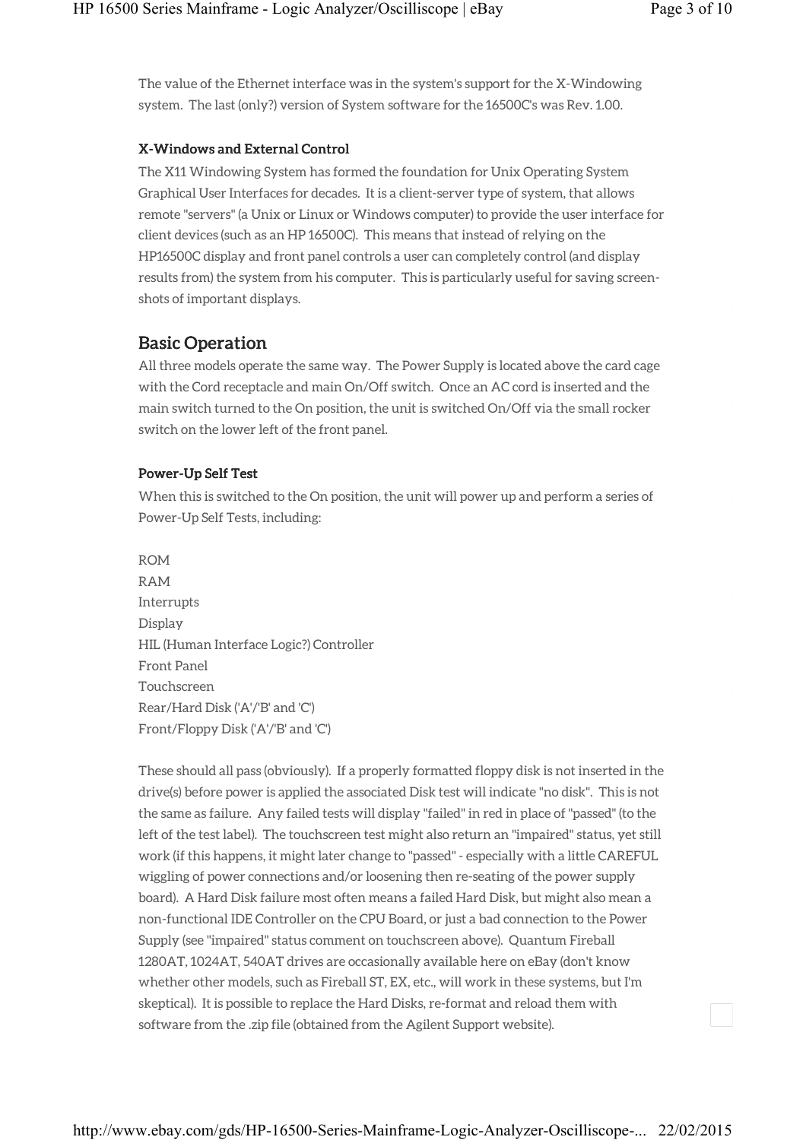The value of the Ethernet interface was in the system's support for the X-Windowing system. The last (only?) version of System software for the 16500C's was Rev. 1.00.

## X-Windows and External Control

The X11 Windowing System has formed the foundation for Unix Operating System Graphical User Interfaces for decades. It is a client-server type of system, that allows remote "servers" (a Unix or Linux or Windows computer) to provide the user interface for client devices (such as an HP 16500C). This means that instead of relying on the HP16500C display and front panel controls a user can completely control (and display results from) the system from his computer. This is particularly useful for saving screenshots of important displays.

## Basic Operation

All three models operate the same way. The Power Supply is located above the card cage with the Cord receptacle and main On/Off switch. Once an AC cord is inserted and the main switch turned to the On position, the unit is switched On/Off via the small rocker switch on the lower left of the front panel.

## Power-Up Self Test

When this is switched to the On position, the unit will power up and perform a series of Power-Up Self Tests, including:

ROM RAM Interrupts Display HIL (Human Interface Logic?) Controller Front Panel Touchscreen Rear/Hard Disk ('A'/'B' and 'C') Front/Floppy Disk ('A'/'B' and 'C')

These should all pass (obviously). If a properly formatted floppy disk is not inserted in the drive(s) before power is applied the associated Disk test will indicate "no disk". This is not the same as failure. Any failed tests will display "failed" in red in place of "passed" (to the left of the test label). The touchscreen test might also return an "impaired" status, yet still work (if this happens, it might later change to "passed" - especially with a little CAREFUL wiggling of power connections and/or loosening then re-seating of the power supply board). A Hard Disk failure most often means a failed Hard Disk, but might also mean a non-functional IDE Controller on the CPU Board, or just a bad connection to the Power Supply (see "impaired" status comment on touchscreen above). Quantum Fireball 1280AT, 1024AT, 540AT drives are occasionally available here on eBay (don't know whether other models, such as Fireball ST, EX, etc., will work in these systems, but I'm skeptical). It is possible to replace the Hard Disks, re-format and reload them with software from the .zip file (obtained from the Agilent Support website).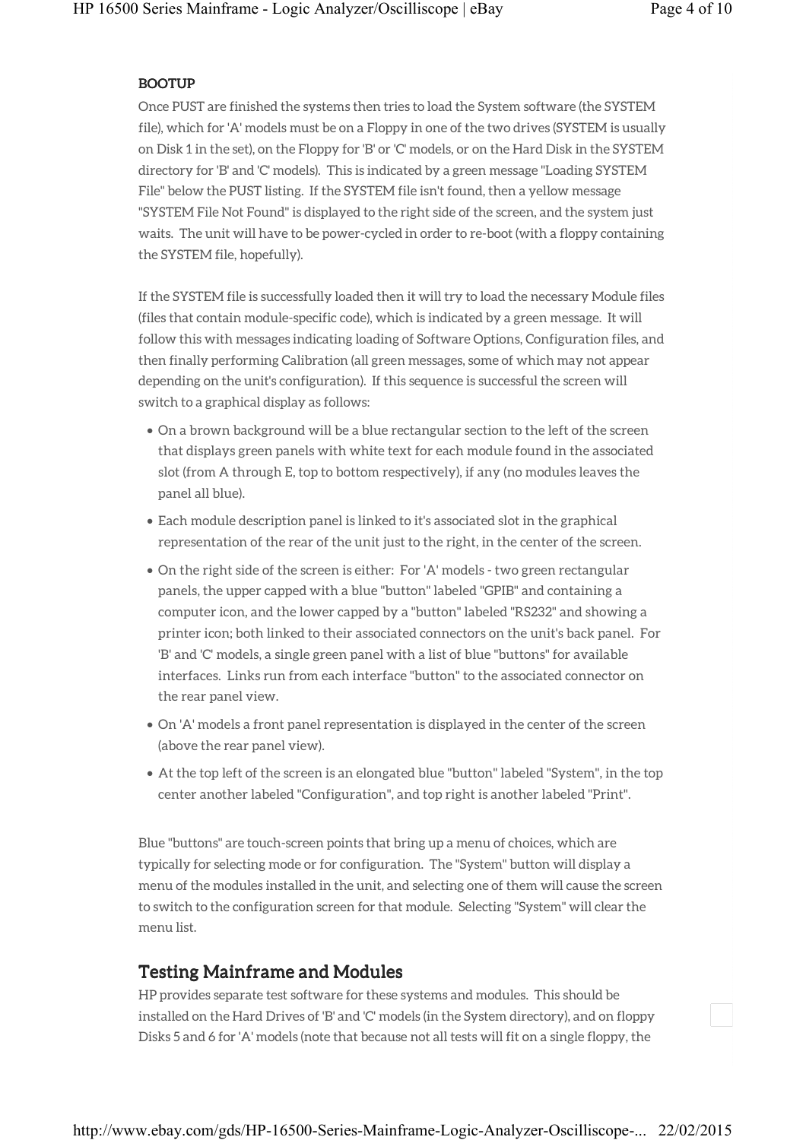#### BOOTUP

Once PUST are finished the systems then tries to load the System software (the SYSTEM file), which for 'A' models must be on a Floppy in one of the two drives (SYSTEM is usually on Disk 1 in the set), on the Floppy for 'B' or 'C' models, or on the Hard Disk in the SYSTEM directory for 'B' and 'C' models). This is indicated by a green message "Loading SYSTEM File" below the PUST listing. If the SYSTEM file isn't found, then a yellow message "SYSTEM File Not Found" is displayed to the right side of the screen, and the system just waits. The unit will have to be power-cycled in order to re-boot (with a floppy containing the SYSTEM file, hopefully).

If the SYSTEM file is successfully loaded then it will try to load the necessary Module files (files that contain module-specific code), which is indicated by a green message. It will follow this with messages indicating loading of Software Options, Configuration files, and then finally performing Calibration (all green messages, some of which may not appear depending on the unit's configuration). If this sequence is successful the screen will switch to a graphical display as follows:

- On a brown background will be a blue rectangular section to the left of the screen that displays green panels with white text for each module found in the associated slot (from A through E, top to bottom respectively), if any (no modules leaves the panel all blue).
- Each module description panel is linked to it's associated slot in the graphical representation of the rear of the unit just to the right, in the center of the screen.
- On the right side of the screen is either: For 'A' models two green rectangular panels, the upper capped with a blue "button" labeled "GPIB" and containing a computer icon, and the lower capped by a "button" labeled "RS232" and showing a printer icon; both linked to their associated connectors on the unit's back panel. For 'B' and 'C' models, a single green panel with a list of blue "buttons" for available interfaces. Links run from each interface "button" to the associated connector on the rear panel view.
- On 'A' models a front panel representation is displayed in the center of the screen (above the rear panel view).
- At the top left of the screen is an elongated blue "button" labeled "System", in the top center another labeled "Configuration", and top right is another labeled "Print".

Blue "buttons" are touch-screen points that bring up a menu of choices, which are typically for selecting mode or for configuration. The "System" button will display a menu of the modules installed in the unit, and selecting one of them will cause the screen to switch to the configuration screen for that module. Selecting "System" will clear the menu list.

## **Testing Mainframe and Modules**

HP provides separate test software for these systems and modules. This should be installed on the Hard Drives of 'B' and 'C' models (in the System directory), and on floppy Disks 5 and 6 for 'A' models (note that because not all tests will fit on a single floppy, the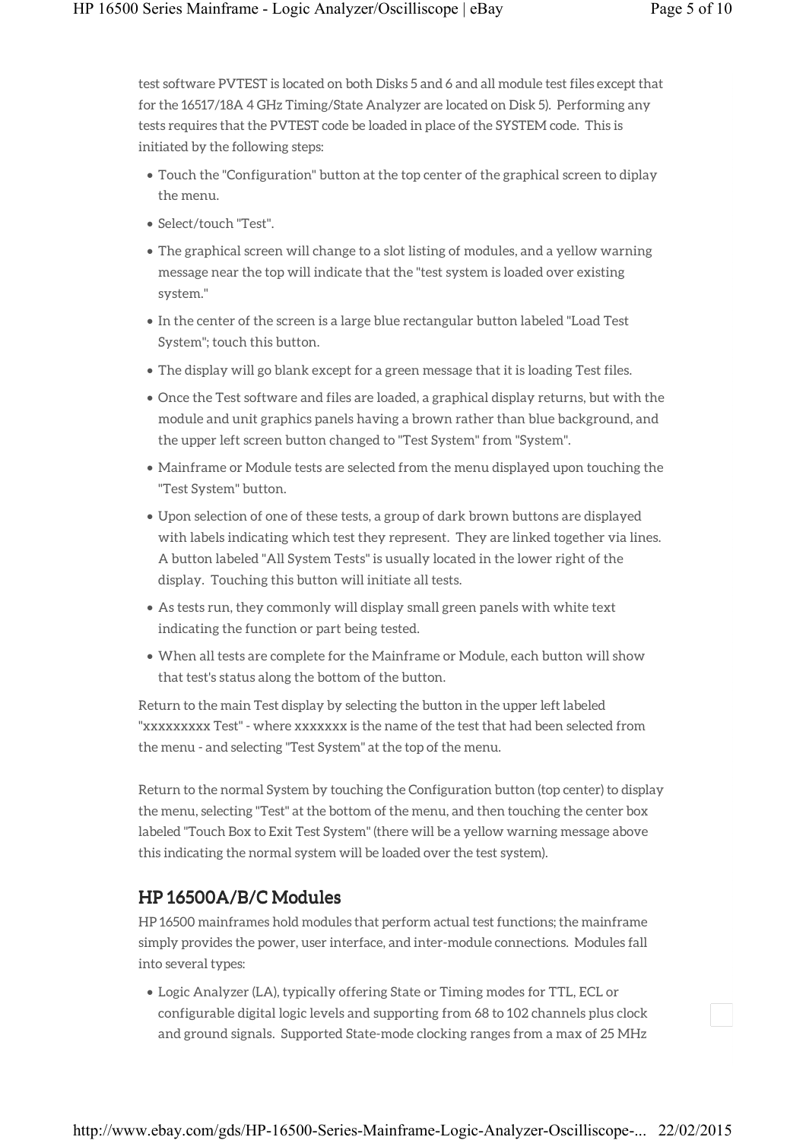test software PVTEST is located on both Disks 5 and 6 and all module test files except that for the 16517/18A 4 GHz Timing/State Analyzer are located on Disk 5). Performing any tests requires that the PVTEST code be loaded in place of the SYSTEM code. This is initiated by the following steps:

- Touch the "Configuration" button at the top center of the graphical screen to diplay the menu.
- Select/touch "Test".
- The graphical screen will change to a slot listing of modules, and a yellow warning message near the top will indicate that the "test system is loaded over existing system."
- In the center of the screen is a large blue rectangular button labeled "Load Test System"; touch this button.
- The display will go blank except for a green message that it is loading Test files.
- Once the Test software and files are loaded, a graphical display returns, but with the module and unit graphics panels having a brown rather than blue background, and the upper left screen button changed to "Test System" from "System".
- Mainframe or Module tests are selected from the menu displayed upon touching the "Test System" button.
- Upon selection of one of these tests, a group of dark brown buttons are displayed with labels indicating which test they represent. They are linked together via lines. A button labeled "All System Tests" is usually located in the lower right of the display. Touching this button will initiate all tests.
- As tests run, they commonly will display small green panels with white text indicating the function or part being tested.
- When all tests are complete for the Mainframe or Module, each button will show that test's status along the bottom of the button.

Return to the main Test display by selecting the button in the upper left labeled "xxxxxxxxx Test" - where xxxxxxx is the name of the test that had been selected from the menu - and selecting "Test System" at the top of the menu.

Return to the normal System by touching the Configuration button (top center) to display the menu, selecting "Test" at the bottom of the menu, and then touching the center box labeled "Touch Box to Exit Test System" (there will be a yellow warning message above this indicating the normal system will be loaded over the test system).

# $HP 16500A/B/C$  Modules

HP 16500 mainframes hold modules that perform actual test functions; the mainframe simply provides the power, user interface, and inter-module connections. Modules fall into several types:

• Logic Analyzer (LA), typically offering State or Timing modes for TTL, ECL or configurable digital logic levels and supporting from 68 to 102 channels plus clock and ground signals. Supported State-mode clocking ranges from a max of 25 MHz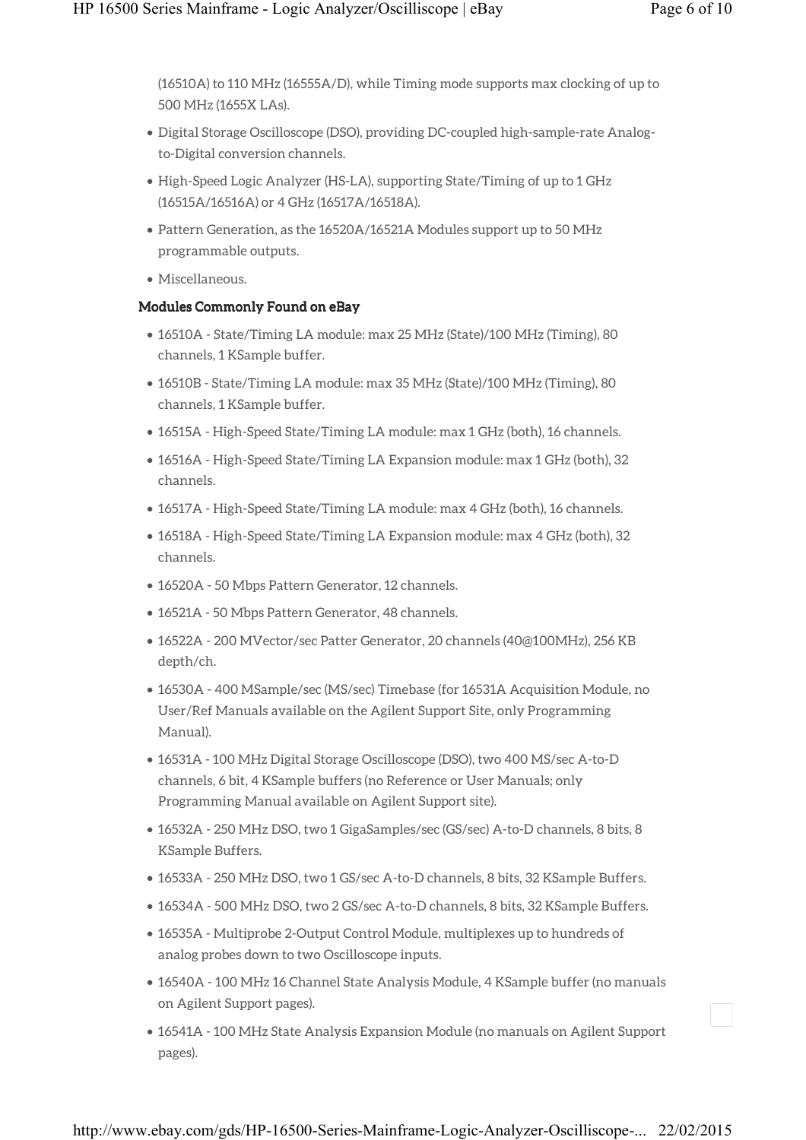(16510A) to 110 MHz (16555A/D), while Timing mode supports max clocking of up to 500 MHz (1655X LAs).

- Digital Storage Oscilloscope (DSO), providing DC-coupled high-sample-rate Analogto-Digital conversion channels.
- High-Speed Logic Analyzer (HS-LA), supporting State/Timing of up to 1 GHz (16515A/16516A) or 4 GHz (16517A/16518A).
- Pattern Generation, as the 16520A/16521A Modules support up to 50 MHz programmable outputs.
- Miscellaneous.

### Modules Commonly Found on eBay

- 16510A State/Timing LA module: max 25 MHz (State)/100 MHz (Timing), 80 channels, 1 KSample buffer.
- 16510B State/Timing LA module: max 35 MHz (State)/100 MHz (Timing), 80 channels, 1 KSample buffer.
- 16515A High-Speed State/Timing LA module: max 1 GHz (both), 16 channels.
- 16516A High-Speed State/Timing LA Expansion module: max 1 GHz (both), 32 channels.
- 16517A High-Speed State/Timing LA module: max 4 GHz (both), 16 channels.
- 16518A High-Speed State/Timing LA Expansion module: max 4 GHz (both), 32 channels.
- 16520A 50 Mbps Pattern Generator, 12 channels.
- 16521A 50 Mbps Pattern Generator, 48 channels.
- 16522A 200 MVector/sec Patter Generator, 20 channels (40@100MHz), 256 KB depth/ch.
- 16530A 400 MSample/sec (MS/sec) Timebase (for 16531A Acquisition Module, no User/Ref Manuals available on the Agilent Support Site, only Programming Manual).
- 16531A 100 MHz Digital Storage Oscilloscope (DSO), two 400 MS/sec A-to-D channels, 6 bit, 4 KSample buffers (no Reference or User Manuals; only Programming Manual available on Agilent Support site).
- 16532A 250 MHz DSO, two 1 GigaSamples/sec (GS/sec) A-to-D channels, 8 bits, 8 KSample Buffers.
- 16533A 250 MHz DSO, two 1 GS/sec A-to-D channels, 8 bits, 32 KSample Buffers.
- 16534A 500 MHz DSO, two 2 GS/sec A-to-D channels, 8 bits, 32 KSample Buffers.
- 16535A Multiprobe 2-Output Control Module, multiplexes up to hundreds of analog probes down to two Oscilloscope inputs.
- 16540A 100 MHz 16 Channel State Analysis Module, 4 KSample buffer (no manuals on Agilent Support pages).
- 16541A 100 MHz State Analysis Expansion Module (no manuals on Agilent Support pages).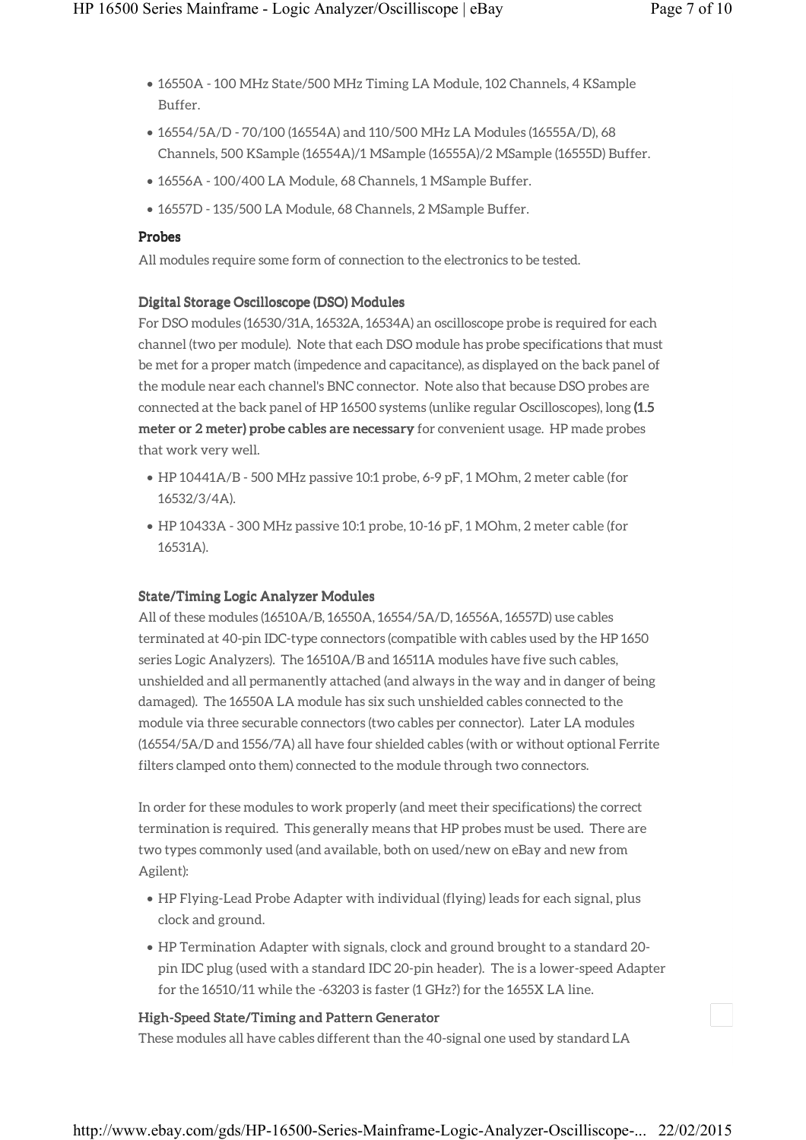- 16550A 100 MHz State/500 MHz Timing LA Module, 102 Channels, 4 KSample Buffer.
- 16554/5A/D 70/100 (16554A) and 110/500 MHz LA Modules (16555A/D), 68 Channels, 500 KSample (16554A)/1 MSample (16555A)/2 MSample (16555D) Buffer.
- 16556A 100/400 LA Module, 68 Channels, 1 MSample Buffer.
- 16557D 135/500 LA Module, 68 Channels, 2 MSample Buffer.

### **Probes**

All modules require some form of connection to the electronics to be tested.

### Digital Storage Oscilloscope (DSO) Modules

For DSO modules (16530/31A, 16532A, 16534A) an oscilloscope probe is required for each channel (two per module). Note that each DSO module has probe specifications that must be met for a proper match (impedence and capacitance), as displayed on the back panel of the module near each channel's BNC connector. Note also that because DSO probes are connected at the back panel of HP 16500 systems (unlike regular Oscilloscopes), long (1.5 meter or 2 meter) probe cables are necessary for convenient usage. HP made probes that work very well.

- HP 10441A/B 500 MHz passive 10:1 probe, 6-9 pF, 1 MOhm, 2 meter cable (for 16532/3/4A).
- HP 10433A 300 MHz passive 10:1 probe, 10-16 pF, 1 MOhm, 2 meter cable (for 16531A).

### State/Timing Logic Analyzer Modules

All of these modules (16510A/B, 16550A, 16554/5A/D, 16556A, 16557D) use cables terminated at 40-pin IDC-type connectors (compatible with cables used by the HP 1650 series Logic Analyzers). The 16510A/B and 16511A modules have five such cables, unshielded and all permanently attached (and always in the way and in danger of being damaged). The 16550A LA module has six such unshielded cables connected to the module via three securable connectors (two cables per connector). Later LA modules (16554/5A/D and 1556/7A) all have four shielded cables (with or without optional Ferrite filters clamped onto them) connected to the module through two connectors.

In order for these modules to work properly (and meet their specifications) the correct termination is required. This generally means that HP probes must be used. There are two types commonly used (and available, both on used/new on eBay and new from Agilent):

- HP Flying-Lead Probe Adapter with individual (flying) leads for each signal, plus clock and ground.
- HP Termination Adapter with signals, clock and ground brought to a standard 20 pin IDC plug (used with a standard IDC 20-pin header). The is a lower-speed Adapter for the 16510/11 while the -63203 is faster (1 GHz?) for the 1655X LA line.

### High-Speed State/Timing and Pattern Generator

These modules all have cables different than the 40-signal one used by standard LA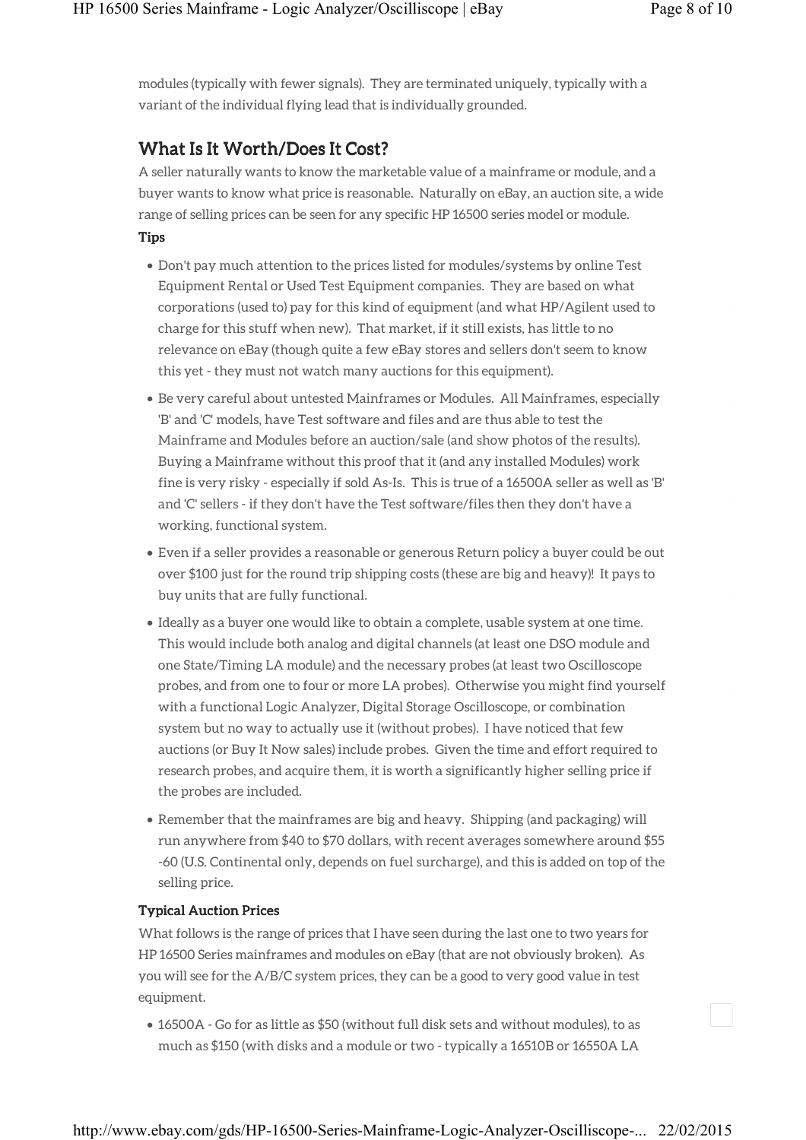modules (typically with fewer signals). They are terminated uniquely, typically with a variant of the individual flying lead that is individually grounded.

# What Is It Worth/Does It Cost?

A seller naturally wants to know the marketable value of a mainframe or module, and a buyer wants to know what price is reasonable. Naturally on eBay, an auction site, a wide range of selling prices can be seen for any specific HP 16500 series model or module.

Tips

- Don't pay much attention to the prices listed for modules/systems by online Test Equipment Rental or Used Test Equipment companies. They are based on what corporations (used to) pay for this kind of equipment (and what HP/Agilent used to charge for this stuff when new). That market, if it still exists, has little to no relevance on eBay (though quite a few eBay stores and sellers don't seem to know this yet - they must not watch many auctions for this equipment).
- Be very careful about untested Mainframes or Modules. All Mainframes, especially 'B' and 'C' models, have Test software and files and are thus able to test the Mainframe and Modules before an auction/sale (and show photos of the results). Buying a Mainframe without this proof that it (and any installed Modules) work fine is very risky - especially if sold As-Is. This is true of a 16500A seller as well as 'B' and 'C' sellers - if they don't have the Test software/files then they don't have a working, functional system.
- Even if a seller provides a reasonable or generous Return policy a buyer could be out over \$100 just for the round trip shipping costs (these are big and heavy)! It pays to buy units that are fully functional.
- Ideally as a buyer one would like to obtain a complete, usable system at one time. This would include both analog and digital channels (at least one DSO module and one State/Timing LA module) and the necessary probes (at least two Oscilloscope probes, and from one to four or more LA probes). Otherwise you might find yourself with a functional Logic Analyzer, Digital Storage Oscilloscope, or combination system but no way to actually use it (without probes). I have noticed that few auctions (or Buy It Now sales) include probes. Given the time and effort required to research probes, and acquire them, it is worth a significantly higher selling price if the probes are included.
- Remember that the mainframes are big and heavy. Shipping (and packaging) will run anywhere from \$40 to \$70 dollars, with recent averages somewhere around \$55 -60 (U.S. Continental only, depends on fuel surcharge), and this is added on top of the selling price.

### Typical Auction Prices

What follows is the range of prices that I have seen during the last one to two years for HP 16500 Series mainframes and modules on eBay (that are not obviously broken). As you will see for the A/B/C system prices, they can be a good to very good value in test equipment.

• 16500A - Go for as little as \$50 (without full disk sets and without modules), to as much as \$150 (with disks and a module or two - typically a 16510B or 16550A LA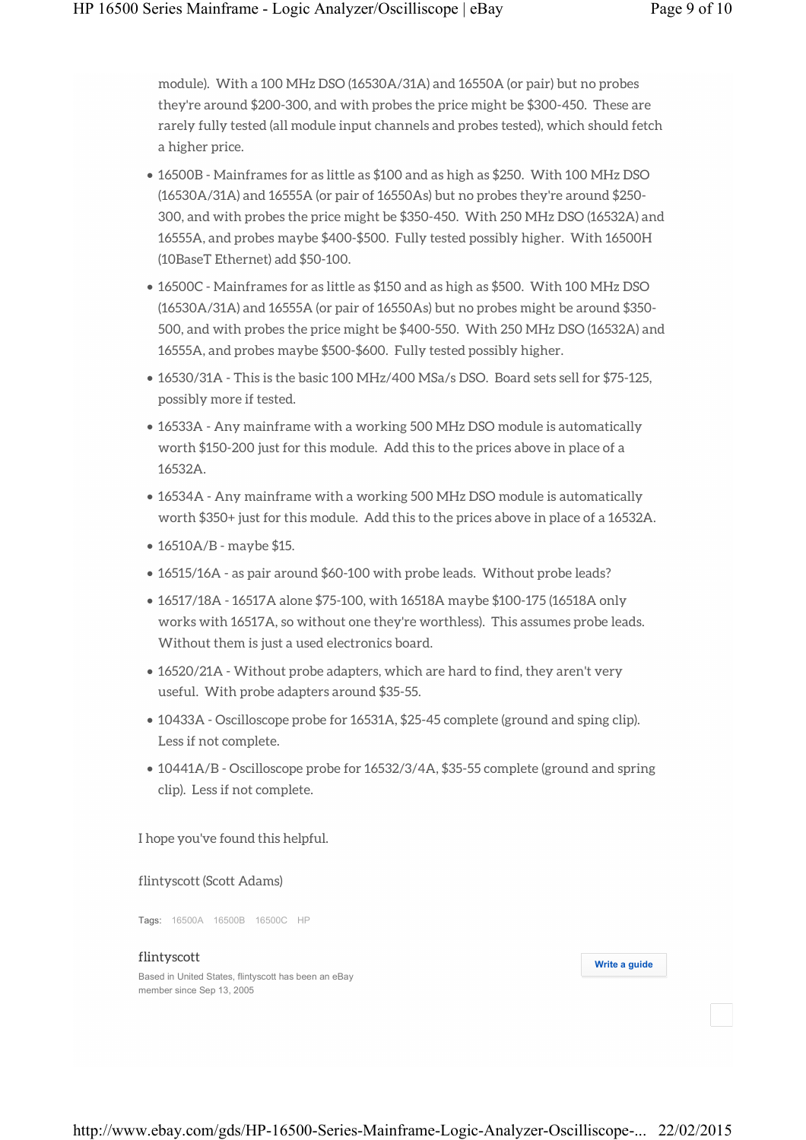module). With a 100 MHz DSO (16530A/31A) and 16550A (or pair) but no probes they're around \$200-300, and with probes the price might be \$300-450. These are rarely fully tested (all module input channels and probes tested), which should fetch a higher price.

- 16500B Mainframes for as little as \$100 and as high as \$250. With 100 MHz DSO (16530A/31A) and 16555A (or pair of 16550As) but no probes they're around \$250- 300, and with probes the price might be \$350-450. With 250 MHz DSO (16532A) and 16555A, and probes maybe \$400-\$500. Fully tested possibly higher. With 16500H (10BaseT Ethernet) add \$50-100.
- 16500C Mainframes for as little as \$150 and as high as \$500. With 100 MHz DSO (16530A/31A) and 16555A (or pair of 16550As) but no probes might be around \$350- 500, and with probes the price might be \$400-550. With 250 MHz DSO (16532A) and 16555A, and probes maybe \$500-\$600. Fully tested possibly higher.
- 16530/31A This is the basic 100 MHz/400 MSa/s DSO. Board sets sell for \$75-125, possibly more if tested.
- 16533A Any mainframe with a working 500 MHz DSO module is automatically worth \$150-200 just for this module. Add this to the prices above in place of a 16532A.
- 16534A Any mainframe with a working 500 MHz DSO module is automatically worth \$350+ just for this module. Add this to the prices above in place of a 16532A.
- 16510A/B maybe \$15.
- 16515/16A as pair around \$60-100 with probe leads. Without probe leads?
- 16517/18A 16517A alone \$75-100, with 16518A maybe \$100-175 (16518A only works with 16517A, so without one they're worthless). This assumes probe leads. Without them is just a used electronics board.
- 16520/21A Without probe adapters, which are hard to find, they aren't very useful. With probe adapters around \$35-55.
- 10433A Oscilloscope probe for 16531A, \$25-45 complete (ground and sping clip). Less if not complete.
- 10441A/B Oscilloscope probe for 16532/3/4A, \$35-55 complete (ground and spring clip). Less if not complete.

I hope you've found this helpful.

flintyscott (Scott Adams)

Tags: 16500A 16500B 16500C HP

#### flintyscott

Based in United States, flintyscott has been an eBay member since Sep 13, 2005

**Write a guide**